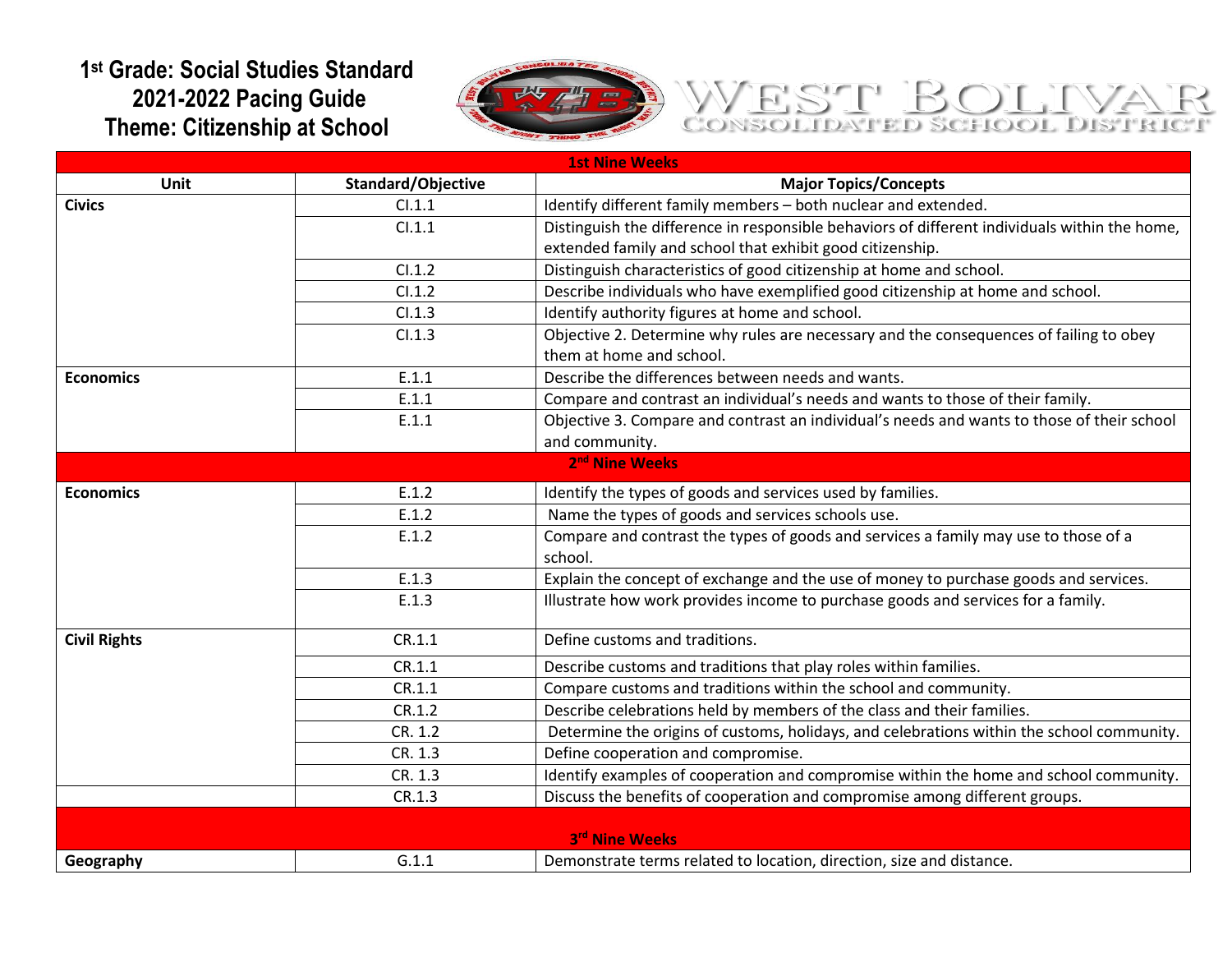## **1 st Grade: Social Studies Standard 2021-2022 Pacing Guide Theme: Citizenship at School**



## WEST BOLIVA

| <b>1st Nine Weeks</b>      |                    |                                                                                               |
|----------------------------|--------------------|-----------------------------------------------------------------------------------------------|
| Unit                       | Standard/Objective | <b>Major Topics/Concepts</b>                                                                  |
| <b>Civics</b>              | Cl.1.1             | Identify different family members - both nuclear and extended.                                |
|                            | Cl.1.1             | Distinguish the difference in responsible behaviors of different individuals within the home, |
|                            |                    | extended family and school that exhibit good citizenship.                                     |
|                            | Cl.1.2             | Distinguish characteristics of good citizenship at home and school.                           |
|                            | Cl.1.2             | Describe individuals who have exemplified good citizenship at home and school.                |
|                            | Cl.1.3             | Identify authority figures at home and school.                                                |
|                            | Cl.1.3             | Objective 2. Determine why rules are necessary and the consequences of failing to obey        |
|                            |                    | them at home and school.                                                                      |
| <b>Economics</b>           | E.1.1              | Describe the differences between needs and wants.                                             |
|                            | E.1.1              | Compare and contrast an individual's needs and wants to those of their family.                |
|                            | E.1.1              | Objective 3. Compare and contrast an individual's needs and wants to those of their school    |
|                            |                    | and community.                                                                                |
| 2 <sup>nd</sup> Nine Weeks |                    |                                                                                               |
| <b>Economics</b>           | E.1.2              | Identify the types of goods and services used by families.                                    |
|                            | E.1.2              | Name the types of goods and services schools use.                                             |
|                            | E.1.2              | Compare and contrast the types of goods and services a family may use to those of a           |
|                            |                    | school.                                                                                       |
|                            | E.1.3              | Explain the concept of exchange and the use of money to purchase goods and services.          |
|                            | E.1.3              | Illustrate how work provides income to purchase goods and services for a family.              |
| <b>Civil Rights</b>        | CR.1.1             | Define customs and traditions.                                                                |
|                            | CR.1.1             | Describe customs and traditions that play roles within families.                              |
|                            | CR.1.1             | Compare customs and traditions within the school and community.                               |
|                            | CR.1.2             | Describe celebrations held by members of the class and their families.                        |
|                            | CR. 1.2            | Determine the origins of customs, holidays, and celebrations within the school community.     |
|                            | CR. 1.3            | Define cooperation and compromise.                                                            |
|                            | CR. 1.3            | Identify examples of cooperation and compromise within the home and school community.         |
|                            | CR.1.3             | Discuss the benefits of cooperation and compromise among different groups.                    |
|                            |                    |                                                                                               |
| 3rd Nine Weeks             |                    |                                                                                               |
| Geography                  | G.1.1              | Demonstrate terms related to location, direction, size and distance.                          |